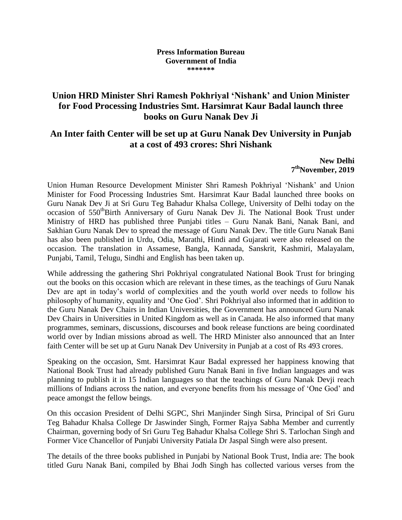## **Press Information Bureau Government of India \*\*\*\*\*\*\***

## **Union HRD Minister Shri Ramesh Pokhriyal 'Nishank' and Union Minister for Food Processing Industries Smt. Harsimrat Kaur Badal launch three books on Guru Nanak Dev Ji**

## **An Inter faith Center will be set up at Guru Nanak Dev University in Punjab at a cost of 493 crores: Shri Nishank**

**New Delhi 7 thNovember, 2019**

Union Human Resource Development Minister Shri Ramesh Pokhriyal 'Nishank' and Union Minister for Food Processing Industries Smt. Harsimrat Kaur Badal launched three books on Guru Nanak Dev Ji at Sri Guru Teg Bahadur Khalsa College, University of Delhi today on the occasion of 550<sup>th</sup>Birth Anniversary of Guru Nanak Dev Ji. The National Book Trust under Ministry of HRD has published three Punjabi titles – Guru Nanak Bani, Nanak Bani, and Sakhian Guru Nanak Dev to spread the message of Guru Nanak Dev. The title Guru Nanak Bani has also been published in Urdu, Odia, Marathi, Hindi and Gujarati were also released on the occasion. The translation in Assamese, Bangla, Kannada, Sanskrit, Kashmiri, Malayalam, Punjabi, Tamil, Telugu, Sindhi and English has been taken up.

While addressing the gathering Shri Pokhriyal congratulated National Book Trust for bringing out the books on this occasion which are relevant in these times, as the teachings of Guru Nanak Dev are apt in today's world of complexities and the youth world over needs to follow his philosophy of humanity, equality and 'One God'. Shri Pokhriyal also informed that in addition to the Guru Nanak Dev Chairs in Indian Universities, the Government has announced Guru Nanak Dev Chairs in Universities in United Kingdom as well as in Canada. He also informed that many programmes, seminars, discussions, discourses and book release functions are being coordinated world over by Indian missions abroad as well. The HRD Minister also announced that an Inter faith Center will be set up at Guru Nanak Dev University in Punjab at a cost of Rs 493 crores.

Speaking on the occasion, Smt. Harsimrat Kaur Badal expressed her happiness knowing that National Book Trust had already published Guru Nanak Bani in five Indian languages and was planning to publish it in 15 Indian languages so that the teachings of Guru Nanak Devji reach millions of Indians across the nation, and everyone benefits from his message of 'One God' and peace amongst the fellow beings.

On this occasion President of Delhi SGPC, Shri Manjinder Singh Sirsa, Principal of Sri Guru Teg Bahadur Khalsa College Dr Jaswinder Singh, Former Rajya Sabha Member and currently Chairman, governing body of Sri Guru Teg Bahadur Khalsa College Shri S. Tarlochan Singh and Former Vice Chancellor of Punjabi University Patiala Dr Jaspal Singh were also present.

The details of the three books published in Punjabi by National Book Trust, India are: The book titled Guru Nanak Bani, compiled by Bhai Jodh Singh has collected various verses from the